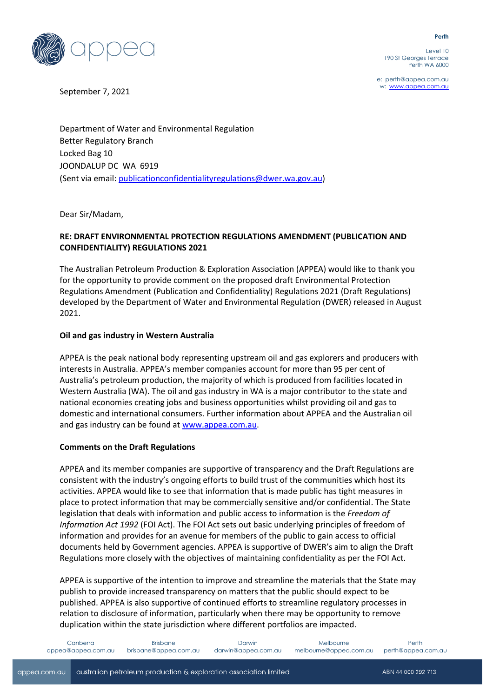

Level 10 190 St Georges Terrace Perth WA 6000

e: perth@appea.com.au

September 7, 2021 and the state of the state of the state of the state of the state of the state of the state of the state of the state of the state of the state of the state of the state of the state of the state of the s

Department of Water and Environmental Regulation Better Regulatory Branch Locked Bag 10 JOONDALUP DC WA 6919 (Sent via email: [publicationconfidentialityregulations@dwer.wa.gov.au\)](mailto:publicationconfidentialityregulations@dwer.wa.gov.au)

Dear Sir/Madam,

# **RE: DRAFT ENVIRONMENTAL PROTECTION REGULATIONS AMENDMENT (PUBLICATION AND CONFIDENTIALITY) REGULATIONS 2021**

The Australian Petroleum Production & Exploration Association (APPEA) would like to thank you for the opportunity to provide comment on the proposed draft Environmental Protection Regulations Amendment (Publication and Confidentiality) Regulations 2021 (Draft Regulations) developed by the Department of Water and Environmental Regulation (DWER) released in August 2021.

## **Oil and gas industry in Western Australia**

APPEA is the peak national body representing upstream oil and gas explorers and producers with interests in Australia. APPEA's member companies account for more than 95 per cent of Australia's petroleum production, the majority of which is produced from facilities located in Western Australia (WA). The oil and gas industry in WA is a major contributor to the state and national economies creating jobs and business opportunities whilst providing oil and gas to domestic and international consumers. Further information about APPEA and the Australian oil and gas industry can be found at [www.appea.com.au.](http://www.appea.com.au/)

## **Comments on the Draft Regulations**

APPEA and its member companies are supportive of transparency and the Draft Regulations are consistent with the industry's ongoing efforts to build trust of the communities which host its activities. APPEA would like to see that information that is made public has tight measures in place to protect information that may be commercially sensitive and/or confidential. The State legislation that deals with information and public access to information is the *Freedom of Information Act 1992* (FOI Act). The FOI Act sets out basic underlying principles of freedom of information and provides for an avenue for members of the public to gain access to official documents held by Government agencies. APPEA is supportive of DWER's aim to align the Draft Regulations more closely with the objectives of maintaining confidentiality as per the FOI Act.

APPEA is supportive of the intention to improve and streamline the materials that the State may publish to provide increased transparency on matters that the public should expect to be published. APPEA is also supportive of continued efforts to streamline regulatory processes in relation to disclosure of information, particularly when there may be opportunity to remove duplication within the state jurisdiction where different portfolios are impacted.

#### **Perth**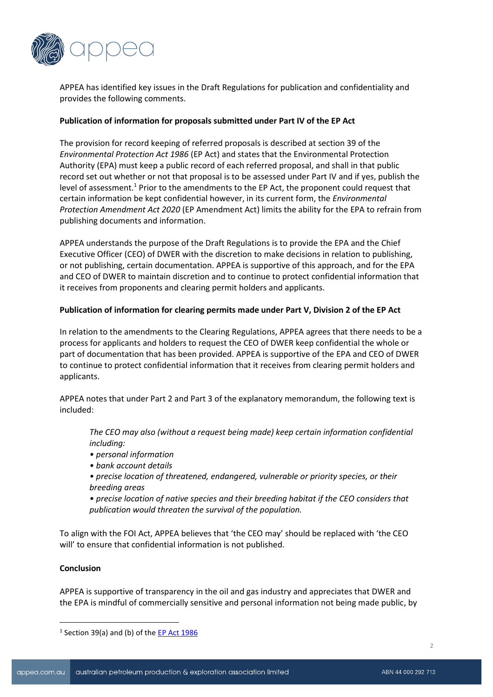

APPEA has identified key issues in the Draft Regulations for publication and confidentiality and provides the following comments.

### **Publication of information for proposals submitted under Part IV of the EP Act**

The provision for record keeping of referred proposals is described at section 39 of the *Environmental Protection Act 1986* (EP Act) and states that the Environmental Protection Authority (EPA) must keep a public record of each referred proposal, and shall in that public record set out whether or not that proposal is to be assessed under Part IV and if yes, publish the level of assessment.<sup>1</sup> Prior to the amendments to the EP Act, the proponent could request that certain information be kept confidential however, in its current form, the *Environmental Protection Amendment Act 2020* (EP Amendment Act) limits the ability for the EPA to refrain from publishing documents and information.

APPEA understands the purpose of the Draft Regulations is to provide the EPA and the Chief Executive Officer (CEO) of DWER with the discretion to make decisions in relation to publishing, or not publishing, certain documentation. APPEA is supportive of this approach, and for the EPA and CEO of DWER to maintain discretion and to continue to protect confidential information that it receives from proponents and clearing permit holders and applicants.

### **Publication of information for clearing permits made under Part V, Division 2 of the EP Act**

In relation to the amendments to the Clearing Regulations, APPEA agrees that there needs to be a process for applicants and holders to request the CEO of DWER keep confidential the whole or part of documentation that has been provided. APPEA is supportive of the EPA and CEO of DWER to continue to protect confidential information that it receives from clearing permit holders and applicants.

APPEA notes that under Part 2 and Part 3 of the explanatory memorandum, the following text is included:

*The CEO may also (without a request being made) keep certain information confidential including:*

- *personal information*
- *bank account details*
- *precise location of threatened, endangered, vulnerable or priority species, or their breeding areas*

*• precise location of native species and their breeding habitat if the CEO considers that publication would threaten the survival of the population.*

To align with the FOI Act, APPEA believes that 'the CEO may' should be replaced with 'the CEO will' to ensure that confidential information is not published.

## **Conclusion**

APPEA is supportive of transparency in the oil and gas industry and appreciates that DWER and the EPA is mindful of commercially sensitive and personal information not being made public, by

<sup>&</sup>lt;sup>1</sup> Section 39(a) and (b) of th[e EP Act](https://www.legislation.wa.gov.au/legislation/prod/filestore.nsf/FileURL/mrdoc_17587.pdf/$FILE/Environmental%20Protection%20Act%201986%20-%20%5B04-00-01%5D.pdf?OpenElement) 1986